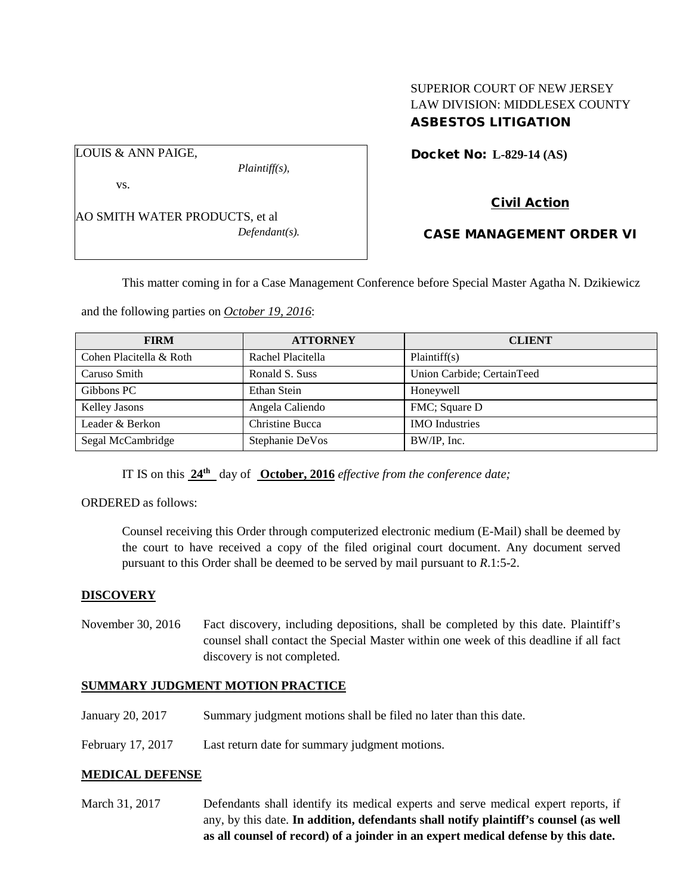## SUPERIOR COURT OF NEW JERSEY LAW DIVISION: MIDDLESEX COUNTY ASBESTOS LITIGATION

Docket No: **L-829-14 (AS)** 

vs.

LOUIS & ANN PAIGE,

AO SMITH WATER PRODUCTS, et al *Defendant(s).*

*Plaintiff(s),*

Civil Action

# CASE MANAGEMENT ORDER VI

This matter coming in for a Case Management Conference before Special Master Agatha N. Dzikiewicz

and the following parties on *October 19, 2016*:

| <b>FIRM</b>             | <b>ATTORNEY</b>   | <b>CLIENT</b>              |
|-------------------------|-------------------|----------------------------|
| Cohen Placitella & Roth | Rachel Placitella | Plaintiff(s)               |
| Caruso Smith            | Ronald S. Suss    | Union Carbide; CertainTeed |
| Gibbons PC              | Ethan Stein       | Honeywell                  |
| Kelley Jasons           | Angela Caliendo   | FMC; Square D              |
| Leader & Berkon         | Christine Bucca   | <b>IMO</b> Industries      |
| Segal McCambridge       | Stephanie DeVos   | BW/IP, Inc.                |

IT IS on this  $24^{\text{th}}$  day of **October, 2016** *effective from the conference date;* 

ORDERED as follows:

Counsel receiving this Order through computerized electronic medium (E-Mail) shall be deemed by the court to have received a copy of the filed original court document. Any document served pursuant to this Order shall be deemed to be served by mail pursuant to *R*.1:5-2.

### **DISCOVERY**

November 30, 2016 Fact discovery, including depositions, shall be completed by this date. Plaintiff's counsel shall contact the Special Master within one week of this deadline if all fact discovery is not completed.

### **SUMMARY JUDGMENT MOTION PRACTICE**

- January 20, 2017 Summary judgment motions shall be filed no later than this date.
- February 17, 2017 Last return date for summary judgment motions.

### **MEDICAL DEFENSE**

March 31, 2017 Defendants shall identify its medical experts and serve medical expert reports, if any, by this date. **In addition, defendants shall notify plaintiff's counsel (as well as all counsel of record) of a joinder in an expert medical defense by this date.**